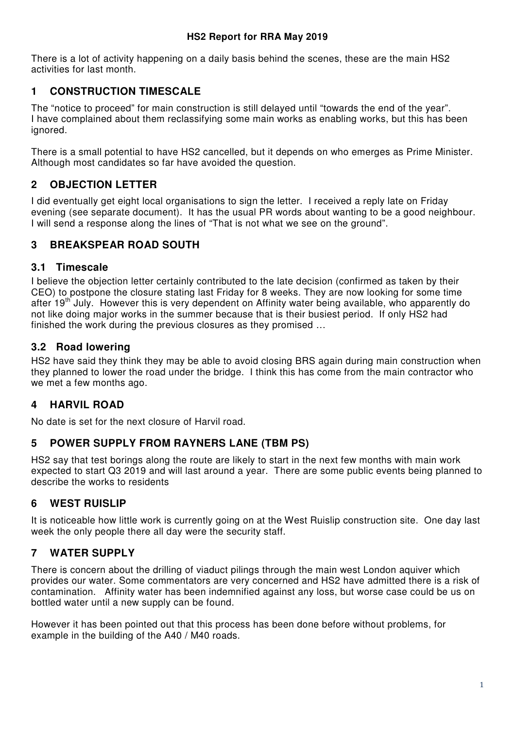There is a lot of activity happening on a daily basis behind the scenes, these are the main HS2 activities for last month.

# **1 CONSTRUCTION TIMESCALE**

The "notice to proceed" for main construction is still delayed until "towards the end of the year". I have complained about them reclassifying some main works as enabling works, but this has been ignored.

There is a small potential to have HS2 cancelled, but it depends on who emerges as Prime Minister. Although most candidates so far have avoided the question.

# **2 OBJECTION LETTER**

I did eventually get eight local organisations to sign the letter. I received a reply late on Friday evening (see separate document). It has the usual PR words about wanting to be a good neighbour. I will send a response along the lines of "That is not what we see on the ground".

# **3 BREAKSPEAR ROAD SOUTH**

## **3.1 Timescale**

I believe the objection letter certainly contributed to the late decision (confirmed as taken by their CEO) to postpone the closure stating last Friday for 8 weeks. They are now looking for some time after 19<sup>th</sup> July. However this is very dependent on Affinity water being available, who apparently do not like doing major works in the summer because that is their busiest period. If only HS2 had finished the work during the previous closures as they promised …

## **3.2 Road lowering**

HS2 have said they think they may be able to avoid closing BRS again during main construction when they planned to lower the road under the bridge. I think this has come from the main contractor who we met a few months ago.

# **4 HARVIL ROAD**

No date is set for the next closure of Harvil road.

# **5 POWER SUPPLY FROM RAYNERS LANE (TBM PS)**

HS2 say that test borings along the route are likely to start in the next few months with main work expected to start Q3 2019 and will last around a year. There are some public events being planned to describe the works to residents

# **6 WEST RUISLIP**

It is noticeable how little work is currently going on at the West Ruislip construction site. One day last week the only people there all day were the security staff.

# **7 WATER SUPPLY**

There is concern about the drilling of viaduct pilings through the main west London aquiver which provides our water. Some commentators are very concerned and HS2 have admitted there is a risk of contamination. Affinity water has been indemnified against any loss, but worse case could be us on bottled water until a new supply can be found.

However it has been pointed out that this process has been done before without problems, for example in the building of the A40 / M40 roads.